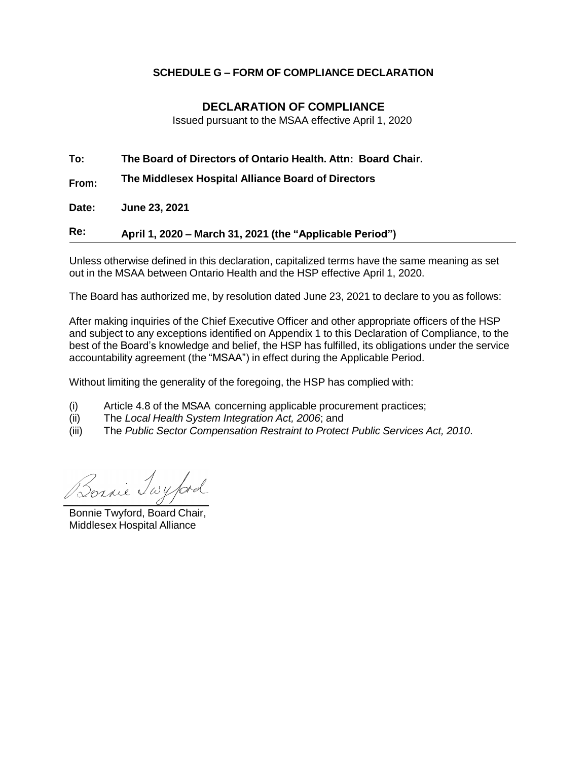## **SCHEDULE G – FORM OF COMPLIANCE DECLARATION**

## **DECLARATION OF COMPLIANCE**

Issued pursuant to the MSAA effective April 1, 2020

**To: The Board of Directors of Ontario Health. Attn: Board Chair.**

**From: The Middlesex Hospital Alliance Board of Directors**

**Date: June 23, 2021**

**Re: April 1, 2020 – March 31, 2021 (the "Applicable Period")**

Unless otherwise defined in this declaration, capitalized terms have the same meaning as set out in the MSAA between Ontario Health and the HSP effective April 1, 2020.

The Board has authorized me, by resolution dated June 23, 2021 to declare to you as follows:

After making inquiries of the Chief Executive Officer and other appropriate officers of the HSP and subject to any exceptions identified on Appendix 1 to this Declaration of Compliance, to the best of the Board's knowledge and belief, the HSP has fulfilled, its obligations under the service accountability agreement (the "MSAA") in effect during the Applicable Period.

Without limiting the generality of the foregoing, the HSP has complied with:

- (i) Article 4.8 of the MSAA concerning applicable procurement practices;
- (ii) The *Local Health System Integration Act, 2006*; and
- (iii) The *Public Sector Compensation Restraint to Protect Public Services Act, 2010*.

Bornie Twyford

Bonnie Twyford, Board Chair, Middlesex Hospital Alliance